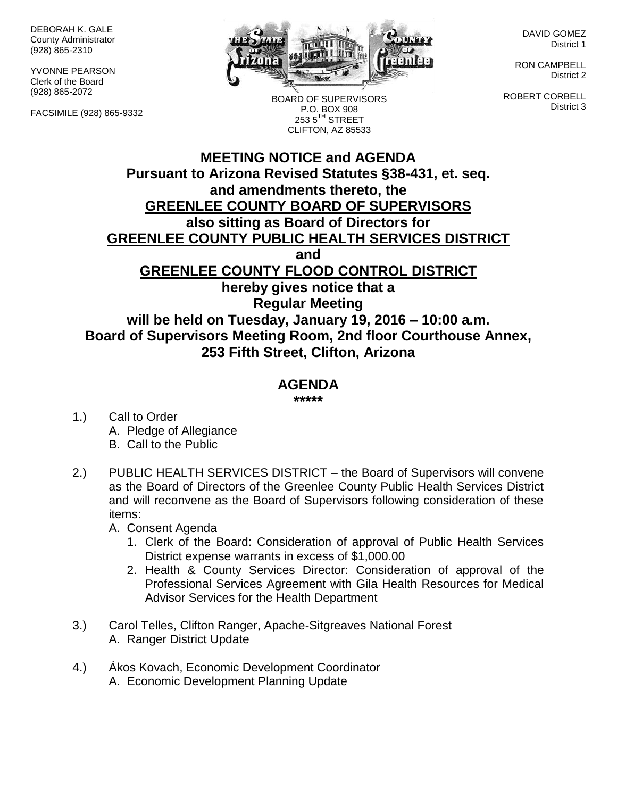DEBORAH K. GALE County Administrator (928) 865-2310

YVONNE PEARSON Clerk of the Board (928) 865-2072

FACSIMILE (928) 865-9332



BOARD OF SUPERVISORS P.O. BOX 908 253 5TH STREET CLIFTON, AZ 85533

DAVID GOMEZ District 1

RON CAMPBELL District 2

ROBERT CORBELL District 3

## **MEETING NOTICE and AGENDA Pursuant to Arizona Revised Statutes §38-431, et. seq. and amendments thereto, the GREENLEE COUNTY BOARD OF SUPERVISORS also sitting as Board of Directors for GREENLEE COUNTY PUBLIC HEALTH SERVICES DISTRICT and GREENLEE COUNTY FLOOD CONTROL DISTRICT hereby gives notice that a Regular Meeting will be held on Tuesday, January 19, 2016 – 10:00 a.m. Board of Supervisors Meeting Room, 2nd floor Courthouse Annex, 253 Fifth Street, Clifton, Arizona**

## **AGENDA**

**\*\*\*\*\***

- 1.) Call to Order A. Pledge of Allegiance B. Call to the Public
- 2.) PUBLIC HEALTH SERVICES DISTRICT the Board of Supervisors will convene as the Board of Directors of the Greenlee County Public Health Services District and will reconvene as the Board of Supervisors following consideration of these items:
	- A. Consent Agenda
		- 1. Clerk of the Board: Consideration of approval of Public Health Services District expense warrants in excess of \$1,000.00
		- 2. Health & County Services Director: Consideration of approval of the Professional Services Agreement with Gila Health Resources for Medical Advisor Services for the Health Department
- 3.) Carol Telles, Clifton Ranger, Apache-Sitgreaves National Forest A. Ranger District Update
- 4.) Ákos Kovach, Economic Development Coordinator A. Economic Development Planning Update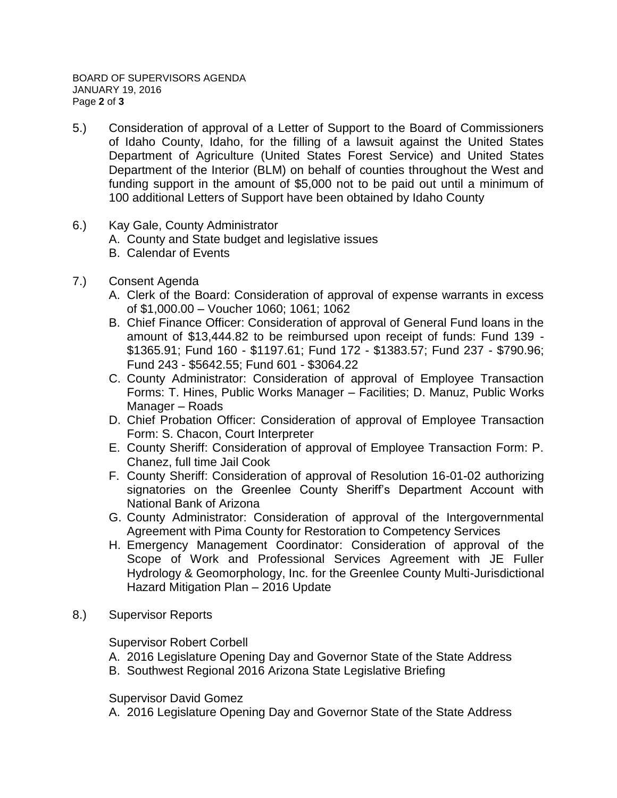- 5.) Consideration of approval of a Letter of Support to the Board of Commissioners of Idaho County, Idaho, for the filling of a lawsuit against the United States Department of Agriculture (United States Forest Service) and United States Department of the Interior (BLM) on behalf of counties throughout the West and funding support in the amount of \$5,000 not to be paid out until a minimum of 100 additional Letters of Support have been obtained by Idaho County
- 6.) Kay Gale, County Administrator
	- A. County and State budget and legislative issues
	- B. Calendar of Events
- 7.) Consent Agenda
	- A. Clerk of the Board: Consideration of approval of expense warrants in excess of \$1,000.00 – Voucher 1060; 1061; 1062
	- B. Chief Finance Officer: Consideration of approval of General Fund loans in the amount of \$13,444.82 to be reimbursed upon receipt of funds: Fund 139 - \$1365.91; Fund 160 - \$1197.61; Fund 172 - \$1383.57; Fund 237 - \$790.96; Fund 243 - \$5642.55; Fund 601 - \$3064.22
	- C. County Administrator: Consideration of approval of Employee Transaction Forms: T. Hines, Public Works Manager – Facilities; D. Manuz, Public Works Manager – Roads
	- D. Chief Probation Officer: Consideration of approval of Employee Transaction Form: S. Chacon, Court Interpreter
	- E. County Sheriff: Consideration of approval of Employee Transaction Form: P. Chanez, full time Jail Cook
	- F. County Sheriff: Consideration of approval of Resolution 16-01-02 authorizing signatories on the Greenlee County Sheriff's Department Account with National Bank of Arizona
	- G. County Administrator: Consideration of approval of the Intergovernmental Agreement with Pima County for Restoration to Competency Services
	- H. Emergency Management Coordinator: Consideration of approval of the Scope of Work and Professional Services Agreement with JE Fuller Hydrology & Geomorphology, Inc. for the Greenlee County Multi-Jurisdictional Hazard Mitigation Plan – 2016 Update
- 8.) Supervisor Reports

Supervisor Robert Corbell

- A. 2016 Legislature Opening Day and Governor State of the State Address
- B. Southwest Regional 2016 Arizona State Legislative Briefing

Supervisor David Gomez

A. 2016 Legislature Opening Day and Governor State of the State Address